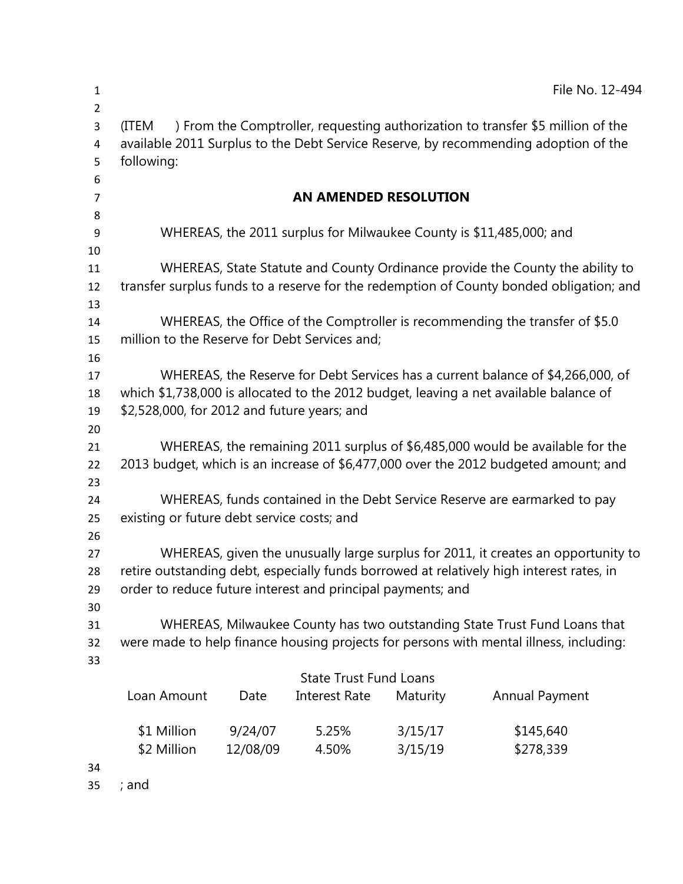| $\mathbf{1}$                        |                                                                                                                                                                      |          |                      |          | File No. 12-494                                                                 |
|-------------------------------------|----------------------------------------------------------------------------------------------------------------------------------------------------------------------|----------|----------------------|----------|---------------------------------------------------------------------------------|
| $\overline{2}$<br>3                 | (ITEM                                                                                                                                                                |          |                      |          | ) From the Comptroller, requesting authorization to transfer \$5 million of the |
| 4                                   | available 2011 Surplus to the Debt Service Reserve, by recommending adoption of the                                                                                  |          |                      |          |                                                                                 |
| 5                                   | following:                                                                                                                                                           |          |                      |          |                                                                                 |
| 6                                   |                                                                                                                                                                      |          |                      |          |                                                                                 |
| 7                                   | <b>AN AMENDED RESOLUTION</b>                                                                                                                                         |          |                      |          |                                                                                 |
| 8                                   |                                                                                                                                                                      |          |                      |          |                                                                                 |
| 9<br>10                             |                                                                                                                                                                      |          |                      |          | WHEREAS, the 2011 surplus for Milwaukee County is \$11,485,000; and             |
| 11                                  | WHEREAS, State Statute and County Ordinance provide the County the ability to                                                                                        |          |                      |          |                                                                                 |
| 12                                  | transfer surplus funds to a reserve for the redemption of County bonded obligation; and                                                                              |          |                      |          |                                                                                 |
| 13                                  |                                                                                                                                                                      |          |                      |          |                                                                                 |
| 14                                  | WHEREAS, the Office of the Comptroller is recommending the transfer of \$5.0                                                                                         |          |                      |          |                                                                                 |
| 15                                  | million to the Reserve for Debt Services and;                                                                                                                        |          |                      |          |                                                                                 |
| 16                                  |                                                                                                                                                                      |          |                      |          |                                                                                 |
| 17                                  | WHEREAS, the Reserve for Debt Services has a current balance of \$4,266,000, of                                                                                      |          |                      |          |                                                                                 |
| 18                                  | which \$1,738,000 is allocated to the 2012 budget, leaving a net available balance of<br>\$2,528,000, for 2012 and future years; and                                 |          |                      |          |                                                                                 |
| 19                                  |                                                                                                                                                                      |          |                      |          |                                                                                 |
| 20                                  |                                                                                                                                                                      |          |                      |          |                                                                                 |
| 21<br>22                            | WHEREAS, the remaining 2011 surplus of \$6,485,000 would be available for the<br>2013 budget, which is an increase of \$6,477,000 over the 2012 budgeted amount; and |          |                      |          |                                                                                 |
| 23                                  |                                                                                                                                                                      |          |                      |          |                                                                                 |
| 24                                  | WHEREAS, funds contained in the Debt Service Reserve are earmarked to pay                                                                                            |          |                      |          |                                                                                 |
| 25                                  | existing or future debt service costs; and                                                                                                                           |          |                      |          |                                                                                 |
| 26                                  |                                                                                                                                                                      |          |                      |          |                                                                                 |
| 27                                  | WHEREAS, given the unusually large surplus for 2011, it creates an opportunity to                                                                                    |          |                      |          |                                                                                 |
| 28                                  | retire outstanding debt, especially funds borrowed at relatively high interest rates, in                                                                             |          |                      |          |                                                                                 |
| 29                                  | order to reduce future interest and principal payments; and                                                                                                          |          |                      |          |                                                                                 |
| 30                                  |                                                                                                                                                                      |          |                      |          |                                                                                 |
| 31                                  | WHEREAS, Milwaukee County has two outstanding State Trust Fund Loans that                                                                                            |          |                      |          |                                                                                 |
| 32                                  | were made to help finance housing projects for persons with mental illness, including:                                                                               |          |                      |          |                                                                                 |
| 33<br><b>State Trust Fund Loans</b> |                                                                                                                                                                      |          |                      |          |                                                                                 |
|                                     | Loan Amount                                                                                                                                                          | Date     | <b>Interest Rate</b> | Maturity | Annual Payment                                                                  |
|                                     |                                                                                                                                                                      |          |                      |          |                                                                                 |
|                                     | \$1 Million                                                                                                                                                          | 9/24/07  | 5.25%                | 3/15/17  | \$145,640                                                                       |
|                                     | \$2 Million                                                                                                                                                          | 12/08/09 | 4.50%                | 3/15/19  | \$278,339                                                                       |
| 21                                  |                                                                                                                                                                      |          |                      |          |                                                                                 |

; and